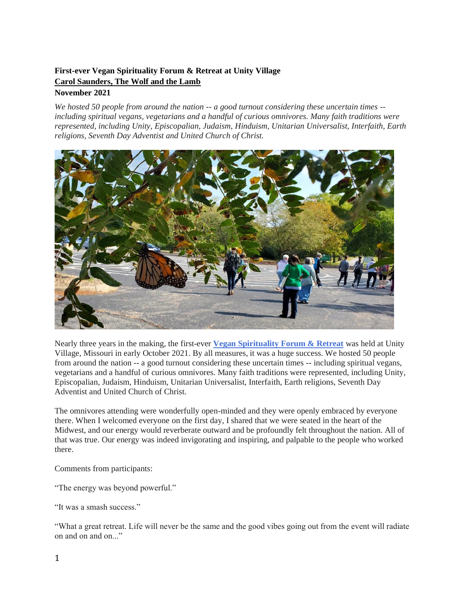## **[First-ever Vegan Spirituality Forum & Retreat at Unity Village](https://www.wolfandthelamb.com/blog/first-ever-vegan-spirituality-forum-retreat-at-unity-village) [Carol Saunders, The Wolf and the Lamb](https://www.wolfandthelamb.com/)**

## **November 2021**

*We hosted 50 people from around the nation -- a good turnout considering these uncertain times - including spiritual vegans, vegetarians and a handful of curious omnivores. Many faith traditions were represented, including Unity, Episcopalian, Judaism, Hinduism, Unitarian Universalist, Interfaith, Earth religions, Seventh Day Adventist and United Church of Christ.* 



Nearly three years in the making, the first-ever **[Vegan Spirituality Forum & Retreat](https://thespiritualforum.org/vegan-retreat)** was held at Unity Village, Missouri in early October 2021. By all measures, it was a huge success. We hosted 50 people from around the nation -- a good turnout considering these uncertain times -- including spiritual vegans, vegetarians and a handful of curious omnivores. Many faith traditions were represented, including Unity, Episcopalian, Judaism, Hinduism, Unitarian Universalist, Interfaith, Earth religions, Seventh Day Adventist and United Church of Christ.

The omnivores attending were wonderfully open-minded and they were openly embraced by everyone there. When I welcomed everyone on the first day, I shared that we were seated in the heart of the Midwest, and our energy would reverberate outward and be profoundly felt throughout the nation. All of that was true. Our energy was indeed invigorating and inspiring, and palpable to the people who worked there.

Comments from participants:

"The energy was beyond powerful."

"It was a smash success."

"What a great retreat. Life will never be the same and the good vibes going out from the event will radiate on and on and on..."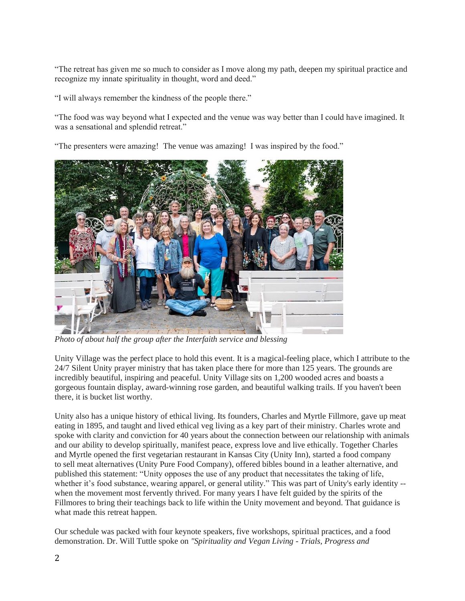"The retreat has given me so much to consider as I move along my path, deepen my spiritual practice and recognize my innate spirituality in thought, word and deed."

"I will always remember the kindness of the people there."

"The food was way beyond what I expected and the venue was way better than I could have imagined. It was a sensational and splendid retreat."

"The presenters were amazing! The venue was amazing! I was inspired by the food."



*Photo of about half the group after the Interfaith service and blessing*

Unity Village was the perfect place to hold this event. It is a magical-feeling place, which I attribute to the 24/7 Silent Unity prayer ministry that has taken place there for more than 125 years. The grounds are incredibly beautiful, inspiring and peaceful. Unity Village sits on 1,200 wooded acres and boasts a gorgeous fountain display, award-winning rose garden, and beautiful walking trails. If you haven't been there, it is bucket list worthy.

Unity also has a unique history of ethical living. Its founders, Charles and Myrtle Fillmore, gave up meat eating in 1895, and taught and lived ethical veg living as a key part of their ministry. Charles wrote and spoke with clarity and conviction for 40 years about the connection between our relationship with animals and our ability to develop spiritually, manifest peace, express love and live ethically. Together Charles and Myrtle opened the first vegetarian restaurant in Kansas City (Unity Inn), started a food company to sell meat alternatives (Unity Pure Food Company), offered bibles bound in a leather alternative, and published this statement: "Unity opposes the use of any product that necessitates the taking of life, whether it's food substance, wearing apparel, or general utility." This was part of Unity's early identity -when the movement most fervently thrived. For many years I have felt guided by the spirits of the Fillmores to bring their teachings back to life within the Unity movement and beyond. That guidance is what made this retreat happen.

Our schedule was packed with four keynote speakers, five workshops, spiritual practices, and a food demonstration. Dr. Will Tuttle spoke on *"Spirituality and Vegan Living - Trials, Progress and*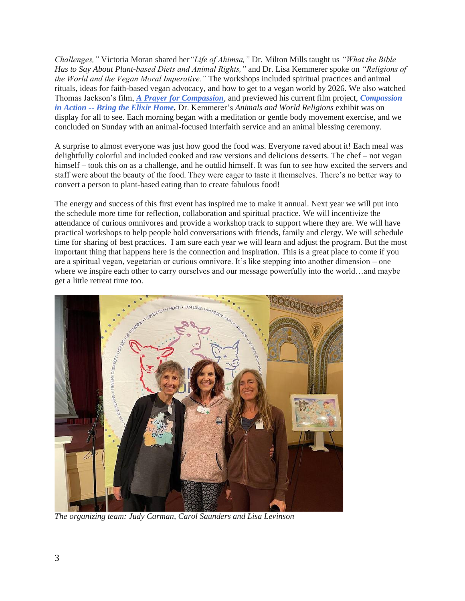*Challenges,"* Victoria Moran shared her*"Life of Ahimsa,"* Dr. Milton Mills taught us *"What the Bible Has to Say About Plant-based Diets and Animal Rights,"* and Dr. Lisa Kemmerer spoke on *"Religions of the World and the Vegan Moral Imperative."* The workshops included spiritual practices and animal rituals, ideas for faith-based vegan advocacy, and how to get to a vegan world by 2026. We also watched Thomas Jackson's film, *[A Prayer for Compassion](https://aprayerforcompassion.com/),* and previewed his current film project, *[Compassion](https://vimeo.com/534665445)  in Action -- [Bring the Elixir Home.](https://vimeo.com/534665445)* Dr. Kemmerer's *Animals and World Religions* exhibit was on display for all to see. Each morning began with a meditation or gentle body movement exercise, and we concluded on Sunday with an animal-focused Interfaith service and an animal blessing ceremony.

A surprise to almost everyone was just how good the food was. Everyone raved about it! Each meal was delightfully colorful and included cooked and raw versions and delicious desserts. The chef – not vegan himself – took this on as a challenge, and he outdid himself. It was fun to see how excited the servers and staff were about the beauty of the food. They were eager to taste it themselves. There's no better way to convert a person to plant-based eating than to create fabulous food!

The energy and success of this first event has inspired me to make it annual. Next year we will put into the schedule more time for reflection, collaboration and spiritual practice. We will incentivize the attendance of curious omnivores and provide a workshop track to support where they are. We will have practical workshops to help people hold conversations with friends, family and clergy. We will schedule time for sharing of best practices. I am sure each year we will learn and adjust the program. But the most important thing that happens here is the connection and inspiration. This is a great place to come if you are a spiritual vegan, vegetarian or curious omnivore. It's like stepping into another dimension – one where we inspire each other to carry ourselves and our message powerfully into the world…and maybe get a little retreat time too.



*The organizing team: Judy Carman, Carol Saunders and Lisa Levinson*